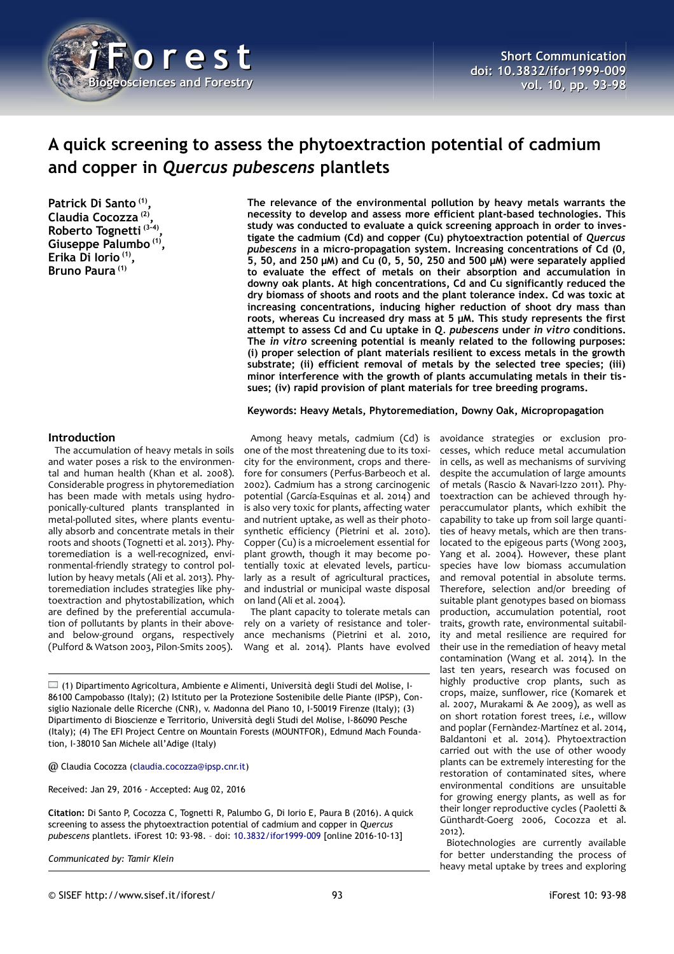

# **A quick screening to assess the phytoextraction potential of cadmium and copper in** *Quercus pubescens* **plantlets**

**Patrick Di Santo (1) , Claudia Cocozza (2) , Roberto Tognetti (3-4) , Giuseppe Palumbo (1) , Erika Di Iorio (1) , Bruno Paura (1)**

**The relevance of the environmental pollution by heavy metals warrants the necessity to develop and assess more efficient plant-based technologies. This study was conducted to evaluate a quick screening approach in order to investigate the cadmium (Cd) and copper (Cu) phytoextraction potential of** *Quercus pubescens* **in a micro-propagation system. Increasing concentrations of Cd (0, 5, 50, and 250 µM) and Cu (0, 5, 50, 250 and 500 µM) were separately applied to evaluate the effect of metals on their absorption and accumulation in downy oak plants. At high concentrations, Cd and Cu significantly reduced the dry biomass of shoots and roots and the plant tolerance index. Cd was toxic at increasing concentrations, inducing higher reduction of shoot dry mass than roots, whereas Cu increased dry mass at 5 µM. This study represents the first attempt to assess Cd and Cu uptake in** *Q. pubescens* **under** *in vitro* **conditions. The** *in vitro* **screening potential is meanly related to the following purposes: (i) proper selection of plant materials resilient to excess metals in the growth substrate; (ii) efficient removal of metals by the selected tree species; (iii) minor interference with the growth of plants accumulating metals in their tissues; (iv) rapid provision of plant materials for tree breeding programs.**

### **Keywords: Heavy Metals, Phytoremediation, Downy Oak, Micropropagation**

# **Introduction**

The accumulation of heavy metals in soils and water poses a risk to the environmental and human health (Khan et al. 2008). Considerable progress in phytoremediation has been made with metals using hydroponically-cultured plants transplanted in metal-polluted sites, where plants eventually absorb and concentrate metals in their roots and shoots (Tognetti et al. 2013). Phytoremediation is a well-recognized, environmental-friendly strategy to control pollution by heavy metals (Ali et al. 2013). Phytoremediation includes strategies like phytoextraction and phytostabilization, which are defined by the preferential accumulation of pollutants by plants in their aboveand below-ground organs, respectively (Pulford & Watson 2003, Pilon-Smits 2005).

Among heavy metals, cadmium (Cd) is one of the most threatening due to its toxicity for the environment, crops and therefore for consumers (Perfus-Barbeoch et al. 2002). Cadmium has a strong carcinogenic potential (García-Esquinas et al. 2014) and is also very toxic for plants, affecting water and nutrient uptake, as well as their photosynthetic efficiency (Pietrini et al. 2010). Copper (Cu) is a microelement essential for plant growth, though it may become potentially toxic at elevated levels, particularly as a result of agricultural practices, and industrial or municipal waste disposal on land (Ali et al. 2004).

The plant capacity to tolerate metals can rely on a variety of resistance and tolerance mechanisms (Pietrini et al. 2010, Wang et al. 2014). Plants have evolved

 $\square$  (1) Dipartimento Agricoltura, Ambiente e Alimenti, Università degli Studi del Molise, I-86100 Campobasso (Italy); (2) Istituto per la Protezione Sostenibile delle Piante (IPSP), Consiglio Nazionale delle Ricerche (CNR), v. Madonna del Piano 10, I-50019 Firenze (Italy); (3) Dipartimento di Bioscienze e Territorio, Università degli Studi del Molise, I-86090 Pesche (Italy); (4) The EFI Project Centre on Mountain Forests (MOUNTFOR), Edmund Mach Foundation, I-38010 San Michele all'Adige (Italy)

@ Claudia Cocozza [\(claudia.cocozza@ipsp.cnr.it\)](mailto:claudia.cocozza@ipsp.cnr.it)

Received: Jan 29, 2016 - Accepted: Aug 02, 2016

**Citation:** Di Santo P, Cocozza C, Tognetti R, Palumbo G, Di Iorio E, Paura B (2016). A quick screening to assess the phytoextraction potential of cadmium and copper in *Quercus pubescens* plantlets. iForest 10: 93-98. – doi: [10.3832/ifor1999-009](http://www.sisef.it/iforest/contents/?id=ifor1999-009) [online 2016-10-13]

*Communicated by: Tamir Klein*

avoidance strategies or exclusion processes, which reduce metal accumulation in cells, as well as mechanisms of surviving despite the accumulation of large amounts of metals (Rascio & Navari-Izzo 2011). Phytoextraction can be achieved through hyperaccumulator plants, which exhibit the capability to take up from soil large quantities of heavy metals, which are then translocated to the epigeous parts (Wong 2003, Yang et al. 2004). However, these plant species have low biomass accumulation and removal potential in absolute terms. Therefore, selection and/or breeding of suitable plant genotypes based on biomass production, accumulation potential, root traits, growth rate, environmental suitability and metal resilience are required for their use in the remediation of heavy metal contamination (Wang et al. 2014). In the last ten years, research was focused on highly productive crop plants, such as crops, maize, sunflower, rice (Komarek et al. 2007, Murakami & Ae 2009), as well as on short rotation forest trees, *i.e.*, willow and poplar (Fernàndez-Martínez et al. 2014, Baldantoni et al. 2014). Phytoextraction carried out with the use of other woody plants can be extremely interesting for the restoration of contaminated sites, where environmental conditions are unsuitable for growing energy plants, as well as for their longer reproductive cycles (Paoletti & Günthardt-Goerg 2006, Cocozza et al. 2012).

Biotechnologies are currently available for better understanding the process of heavy metal uptake by trees and exploring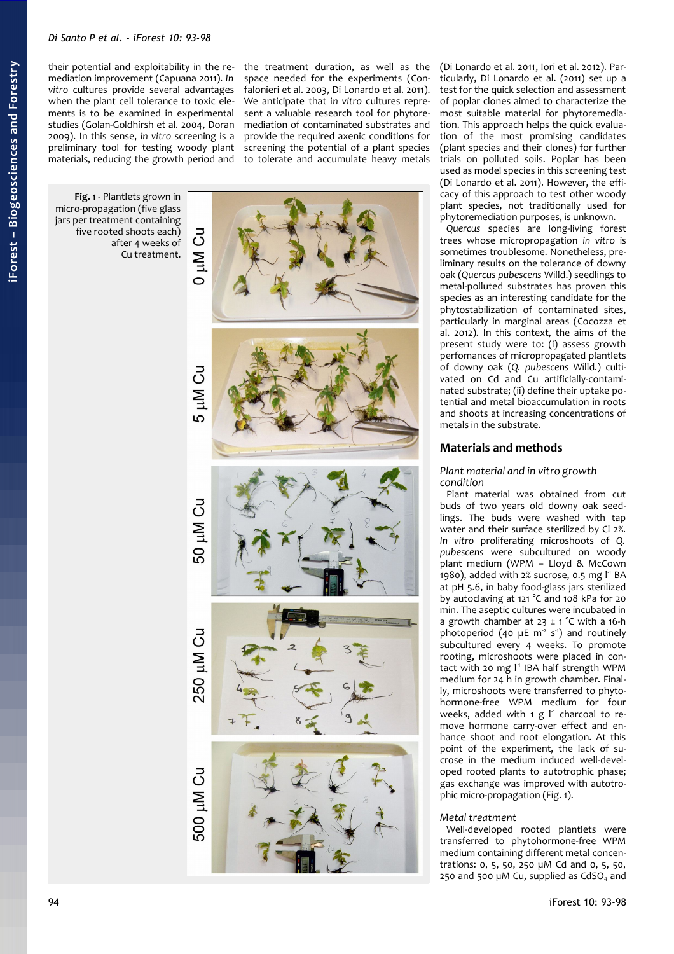their potential and exploitability in the remediation improvement (Capuana 2011). *In vitro* cultures provide several advantages when the plant cell tolerance to toxic elements is to be examined in experimental studies (Golan-Goldhirsh et al. 2004, Doran 2009). In this sense, *in vitro* screening is a preliminary tool for testing woody plant materials, reducing the growth period and

the treatment duration, as well as the space needed for the experiments (Confalonieri et al. 2003, Di Lonardo et al. 2011). We anticipate that i*n vitro* cultures represent a valuable research tool for phytoremediation of contaminated substrates and provide the required axenic conditions for screening the potential of a plant species to tolerate and accumulate heavy metals

<span id="page-1-0"></span>

(Di Lonardo et al. 2011, Iori et al. 2012). Particularly, Di Lonardo et al. (2011) set up a test for the quick selection and assessment of poplar clones aimed to characterize the most suitable material for phytoremediation. This approach helps the quick evaluation of the most promising candidates (plant species and their clones) for further trials on polluted soils. Poplar has been used as model species in this screening test (Di Lonardo et al. 2011). However, the efficacy of this approach to test other woody plant species, not traditionally used for phytoremediation purposes, is unknown.

*Quercus* species are long-living forest trees whose micropropagation *in vitro* is sometimes troublesome. Nonetheless, preliminary results on the tolerance of downy oak (*Quercus pubescens* Willd.) seedlings to metal-polluted substrates has proven this species as an interesting candidate for the phytostabilization of contaminated sites, particularly in marginal areas (Cocozza et al. 2012). In this context, the aims of the present study were to: (i) assess growth perfomances of micropropagated plantlets of downy oak (*Q. pubescens* Willd.) cultivated on Cd and Cu artificially-contaminated substrate; (ii) define their uptake potential and metal bioaccumulation in roots and shoots at increasing concentrations of metals in the substrate.

# **Materials and methods**

## *Plant material and in vitro growth condition*

Plant material was obtained from cut buds of two years old downy oak seedlings. The buds were washed with tap water and their surface sterilized by Cl 2%. *In vitro* proliferating microshoots of *Q. pubescens* were subcultured on woody plant medium (WPM – Lloyd & McCown 1980), added with  $2\%$  sucrose, 0.5 mg  $1^1$  BA at pH 5.6, in baby food-glass jars sterilized by autoclaving at 121 °C and 108 kPa for 20 min. The aseptic cultures were incubated in a growth chamber at  $23 \pm 1$  °C with a 16-h photoperiod (40  $\mu$ E m<sup>2</sup> s<sup>-1</sup>) and routinely subcultured every 4 weeks. To promote rooting, microshoots were placed in contact with 20 mg l<sup>1</sup> IBA half strength WPM medium for 24 h in growth chamber. Finally, microshoots were transferred to phytohormone-free WPM medium for four weeks, added with  $1 g l<sup>1</sup>$  charcoal to remove hormone carry-over effect and enhance shoot and root elongation. At this point of the experiment, the lack of sucrose in the medium induced well-developed rooted plants to autotrophic phase; gas exchange was improved with autotrophic micro-propagation [\(Fig. 1\)](#page-1-0).

# *Metal treatment*

Well-developed rooted plantlets were transferred to phytohormone-free WPM medium containing different metal concentrations: 0, 5, 50, 250 µM Cd and 0, 5, 50, 250 and 500  $\mu$ M Cu, supplied as CdSO<sub>4</sub> and

# 94 iForest 10: 93-98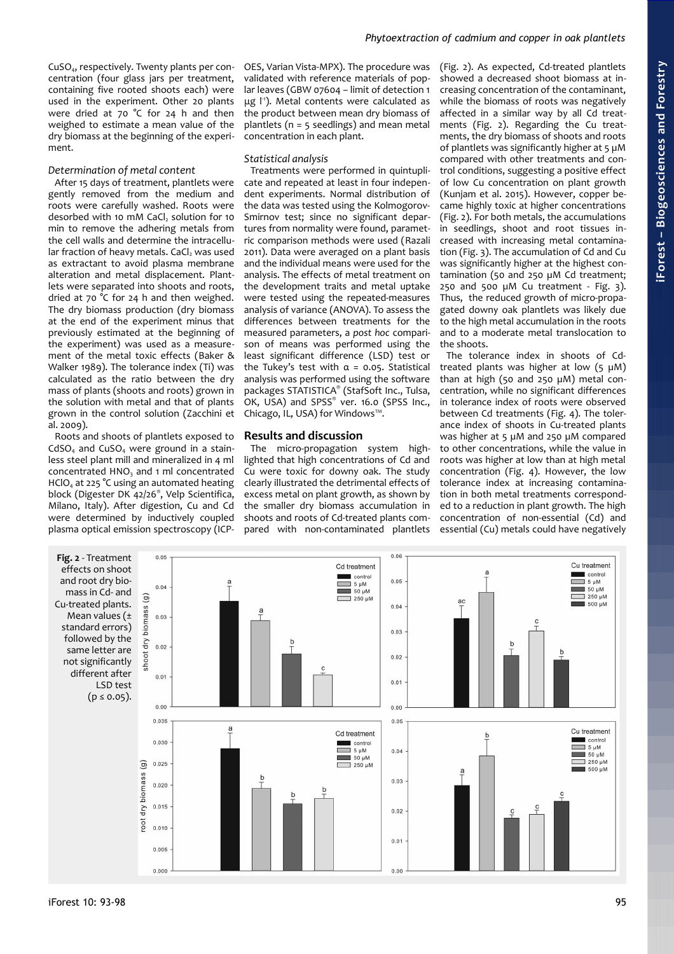CuSO4, respectively. Twenty plants per concentration (four glass jars per treatment, containing five rooted shoots each) were used in the experiment. Other 20 plants were dried at 70 °C for 24 h and then weighed to estimate a mean value of the dry biomass at the beginning of the experiment.

## *Determination of metal content*

After 15 days of treatment, plantlets were gently removed from the medium and roots were carefully washed. Roots were desorbed with 10 mM CaCl<sub>2</sub> solution for 10 min to remove the adhering metals from the cell walls and determine the intracellular fraction of heavy metals. CaCl, was used as extractant to avoid plasma membrane alteration and metal displacement. Plantlets were separated into shoots and roots, dried at 70 °C for 24 h and then weighed. The dry biomass production (dry biomass at the end of the experiment minus that previously estimated at the beginning of the experiment) was used as a measurement of the metal toxic effects (Baker & Walker 1989). The tolerance index (Ti) was calculated as the ratio between the dry mass of plants (shoots and roots) grown in the solution with metal and that of plants grown in the control solution (Zacchini et al. 2009).

Roots and shoots of plantlets exposed to  $CdSO<sub>4</sub>$  and  $CuSO<sub>4</sub>$  were ground in a stainless steel plant mill and mineralized in 4 ml concentrated HNO<sub>3</sub> and 1 ml concentrated  $HClO<sub>4</sub>$  at 225 °C using an automated heating block (Digester DK 42/26® , Velp Scientifica, Milano, Italy). After digestion, Cu and Cd were determined by inductively coupled plasma optical emission spectroscopy (ICP-

OES, Varian Vista-MPX). The procedure was validated with reference materials of poplar leaves (GBW 07604 – limit of detection 1  $μg<sup>[1]</sup>$ . Metal contents were calculated as the product between mean dry biomass of plantlets (n = 5 seedlings) and mean metal concentration in each plant.

## *Statistical analysis*

Treatments were performed in quintuplicate and repeated at least in four independent experiments. Normal distribution of the data was tested using the Kolmogorov-Smirnov test; since no significant departures from normality were found, parametric comparison methods were used (Razali 2011). Data were averaged on a plant basis and the individual means were used for the analysis. The effects of metal treatment on the development traits and metal uptake were tested using the repeated-measures analysis of variance (ANOVA). To assess the differences between treatments for the measured parameters, a *post hoc* comparison of means was performed using the least significant difference (LSD) test or the Tukey's test with  $α = 0.05$ . Statistical analysis was performed using the software packages STATISTICA® (StafSoft Inc., Tulsa, OK, USA) and SPSS® ver. 16.0 (SPSS Inc., Chicago, IL, USA) for Windows™.

### **Results and discussion**

The micro-propagation system highlighted that high concentrations of Cd and Cu were toxic for downy oak. The study clearly illustrated the detrimental effects of excess metal on plant growth, as shown by the smaller dry biomass accumulation in shoots and roots of Cd-treated plants compared with non-contaminated plantlets [\(Fig. 2\)](#page-2-0). As expected, Cd-treated plantlets showed a decreased shoot biomass at increasing concentration of the contaminant, while the biomass of roots was negatively affected in a similar way by all Cd treatments [\(Fig. 2\)](#page-2-0). Regarding the Cu treatments, the dry biomass of shoots and roots of plantlets was significantly higher at 5 µM compared with other treatments and control conditions, suggesting a positive effect of low Cu concentration on plant growth (Kunjam et al. 2015). However, copper became highly toxic at higher concentrations [\(Fig. 2\)](#page-2-0). For both metals, the accumulations in seedlings, shoot and root tissues increased with increasing metal contamination [\(Fig. 3\)](#page-3-1). The accumulation of Cd and Cu was significantly higher at the highest contamination (50 and 250 µM Cd treatment; 250 and 500  $\mu$ M Cu treatment - [Fig. 3\)](#page-3-1). Thus, the reduced growth of micro-propagated downy oak plantlets was likely due to the high metal accumulation in the roots and to a moderate metal translocation to the shoots.

**iForest –**

**Bio geoscie**

**nces a nd Forestry**

The tolerance index in shoots of Cdtreated plants was higher at low  $(5 \mu M)$ than at high (50 and 250 µM) metal concentration, while no significant differences in tolerance index of roots were observed between Cd treatments [\(Fig. 4\)](#page-3-0). The tolerance index of shoots in Cu-treated plants was higher at 5 µM and 250 µM compared to other concentrations, while the value in roots was higher at low than at high metal concentration [\(Fig. 4\)](#page-3-0). However, the low tolerance index at increasing contamination in both metal treatments corresponded to a reduction in plant growth. The high concentration of non-essential (Cd) and essential (Cu) metals could have negatively

<span id="page-2-0"></span>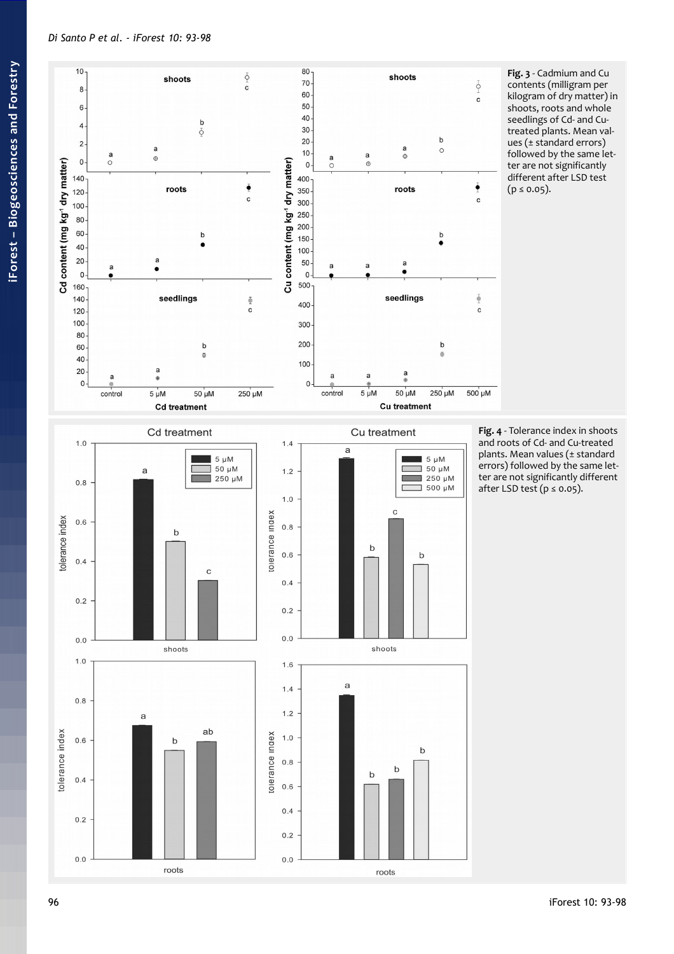

<span id="page-3-1"></span>Fig. 3 - Cadmium and Cu contents (milligram per kilogram of dry matter) in shoots, roots and whole seedlings of Cd- and Cutreated plants. Mean values ( $\pm$  standard errors) followed by the same letter are not significantly different after LSD test  $(p \le 0.05)$ .

<span id="page-3-0"></span>Fig. 4 - Tolerance index in shoots and roots of Cd- and Cu-treated plants. Mean values (± standard errors) followed by the same letter are not significantly different after LSD test ( $p \le 0.05$ ).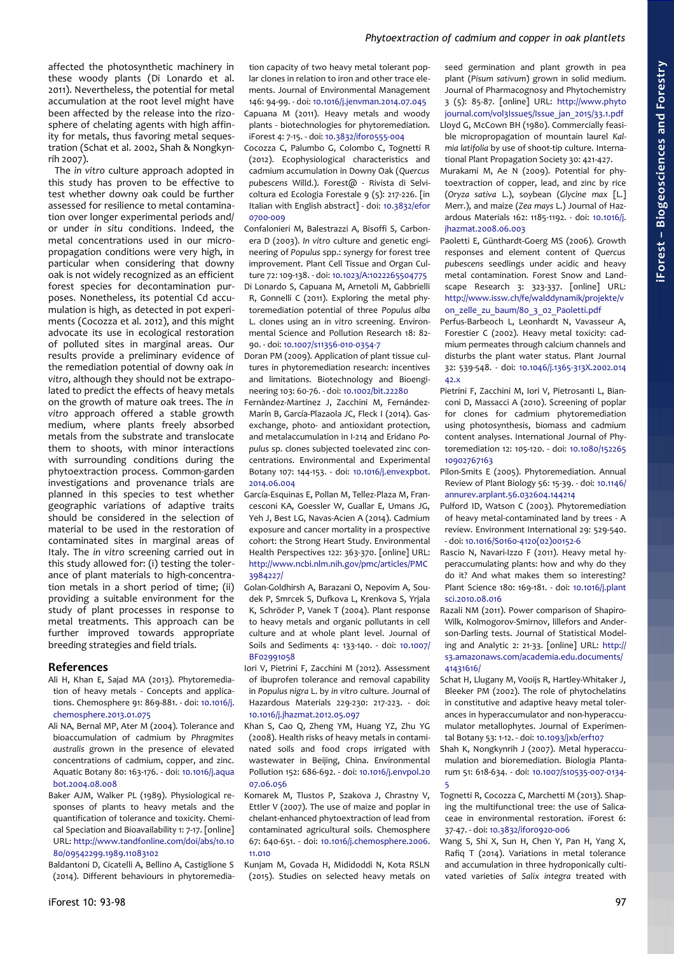## *Phytoextraction of cadmium and copper in oak plantlets*

affected the photosynthetic machinery in these woody plants (Di Lonardo et al. 2011). Nevertheless, the potential for metal accumulation at the root level might have been affected by the release into the rizosphere of chelating agents with high affinity for metals, thus favoring metal sequestration (Schat et al. 2002, Shah & Nongkynrih 2007).

The *in vitro* culture approach adopted in this study has proven to be effective to test whether downy oak could be further assessed for resilience to metal contamination over longer experimental periods and/ or under *in situ* conditions. Indeed, the metal concentrations used in our micropropagation conditions were very high, in particular when considering that downy oak is not widely recognized as an efficient forest species for decontamination purposes. Nonetheless, its potential Cd accumulation is high, as detected in pot experiments (Cocozza et al. 2012), and this might advocate its use in ecological restoration of polluted sites in marginal areas. Our results provide a preliminary evidence of the remediation potential of downy oak *in vitro*, although they should not be extrapolated to predict the effects of heavy metals on the growth of mature oak trees. The *in vitro* approach offered a stable growth medium, where plants freely absorbed metals from the substrate and translocate them to shoots, with minor interactions with surrounding conditions during the phytoextraction process. Common-garden investigations and provenance trials are planned in this species to test whether geographic variations of adaptive traits should be considered in the selection of material to be used in the restoration of contaminated sites in marginal areas of Italy. The *in vitro* screening carried out in this study allowed for: (i) testing the tolerance of plant materials to high-concentration metals in a short period of time; (ii) providing a suitable environment for the study of plant processes in response to metal treatments. This approach can be further improved towards appropriate breeding strategies and field trials.

## **References**

- Ali H, Khan E, Sajad MA (2013). Phytoremediation of heavy metals - Concepts and applications. Chemosphere 91: 869-881. - doi: [10.1016/j.](http://dx.doi.org/10.1016/j.chemosphere.2013.01.075) [chemosphere.2013.01.075](http://dx.doi.org/10.1016/j.chemosphere.2013.01.075)
- Ali NA, Bernal MP, Ater M (2004). Tolerance and bioaccumulation of cadmium by *Phragmites australis* grown in the presence of elevated concentrations of cadmium, copper, and zinc. Aquatic Botany 80: 163-176. - doi: [10.1016/j.aqua](http://dx.doi.org/10.1016/j.aquabot.2004.08.008) [bot.2004.08.008](http://dx.doi.org/10.1016/j.aquabot.2004.08.008)
- Baker AJM, Walker PL (1989). Physiological responses of plants to heavy metals and the quantification of tolerance and toxicity. Chemical Speciation and Bioavailability 1: 7-17. [online] URL: [http://www.tandfonline.com/doi/abs/10.10](http://www.tandfonline.com/doi/abs/10.1080/09542299.1989.11083102) [80/09542299.1989.11083102](http://www.tandfonline.com/doi/abs/10.1080/09542299.1989.11083102)

Baldantoni D, Cicatelli A, Bellino A, Castiglione S (2014). Different behaviours in phytoremedia-

tion capacity of two heavy metal tolerant poplar clones in relation to iron and other trace elements. Journal of Environmental Management 146: 94-99. - doi: [10.1016/j.jenvman.2014.07.045](http://dx.doi.org/10.1016/j.jenvman.2014.07.045) Capuana M (2011). Heavy metals and woody plants - biotechnologies for phytoremediation. iForest 4: 7-15. - doi: [10.3832/ifor0555-004](http://dx.doi.org/10.3832/ifor0555-004)

Cocozza C, Palumbo G, Colombo C, Tognetti R (2012). Ecophysiological characteristics and cadmium accumulation in Downy Oak (*Quercus pubescens* Willd.). Forest@ - Rivista di Selvicoltura ed Ecologia Forestale 9 (5): 217-226. [in Italian with English abstract] - doi: [10.3832/efor](http://dx.doi.org/10.3832/efor0700-009) [0700-009](http://dx.doi.org/10.3832/efor0700-009)

- Confalonieri M, Balestrazzi A, Bisoffi S, Carbonera D (2003). *In vitro* culture and genetic engineering of *Populus* spp.: synergy for forest tree improvement. Plant Cell Tissue and Organ Culture 72: 109-138. - doi: [10.1023/A:1022265504775](http://dx.doi.org/10.1023/A:1022265504775) Di Lonardo S, Capuana M, Arnetoli M, Gabbrielli R, Gonnelli C (2011). Exploring the metal phytoremediation potential of three *Populus alba* L. clones using an *in vitro* screening. Environmental Science and Pollution Research 18: 82- 90. - doi: [10.1007/s11356-010-0354-7](http://dx.doi.org/10.1007/s11356-010-0354-7)
- Doran PM (2009). Application of plant tissue cultures in phytoremediation research: incentives and limitations. Biotechnology and Bioengineering 103: 60-76. - doi: [10.1002/bit.22280](http://dx.doi.org/10.1002/bit.22280)
- Fernàndez-Martínez J, Zacchini M, Fernández-Marín B, García-Plazaola JC, Fleck I (2014). Gasexchange, photo- and antioxidant protection, and metalaccumulation in I-214 and Eridano *Populus* sp. clones subjected toelevated zinc concentrations. Environmental and Experimental Botany 107: 144-153. - doi: [10.1016/j.envexpbot.](http://dx.doi.org/10.1016/j.envexpbot.2014.06.004) [2014.06.004](http://dx.doi.org/10.1016/j.envexpbot.2014.06.004)
- García-Esquinas E, Pollan M, Tellez-Plaza M, Francesconi KA, Goessler W, Guallar E, Umans JG, Yeh J, Best LG, Navas-Acien A (2014). Cadmium exposure and cancer mortality in a prospective cohort: the Strong Heart Study. Environmental Health Perspectives 122: 363-370. [online] URL: [http://www.ncbi.nlm.nih.gov/pmc/articles/PMC](http://www.ncbi.nlm.nih.gov/pmc/articles/PMC3984227/) [3984227/](http://www.ncbi.nlm.nih.gov/pmc/articles/PMC3984227/)
- Golan-Goldhirsh A, Barazani O, Nepovim A, Soudek P, Smrcek S, Dufkova L, Krenkova S, Yrjala K, Schröder P, Vanek T (2004). Plant response to heavy metals and organic pollutants in cell culture and at whole plant level. Journal of Soils and Sediments 4: 133-140. - doi: [10.1007/](http://dx.doi.org/10.1007/BF02991058) [BF02991058](http://dx.doi.org/10.1007/BF02991058)
- Iori V, Pietrini F, Zacchini M (2012). Assessment of ibuprofen tolerance and removal capability in *Populus nigra* L. by *in vitro* culture. Journal of Hazardous Materials 229-230: 217-223. - doi: [10.1016/j.jhazmat.2012.05.097](http://dx.doi.org/10.1016/j.jhazmat.2012.05.097)
- Khan S, Cao Q, Zheng YM, Huang YZ, Zhu YG (2008). Health risks of heavy metals in contaminated soils and food crops irrigated with wastewater in Beijing, China. Environmental Pollution 152: 686-692. - doi: [10.1016/j.envpol.20](http://dx.doi.org/10.1016/j.envpol.2007.06.056) [07.06.056](http://dx.doi.org/10.1016/j.envpol.2007.06.056)
- Komarek M, Tlustos P, Szakova J, Chrastny V, Ettler V (2007). The use of maize and poplar in chelant-enhanced phytoextraction of lead from contaminated agricultural soils. Chemosphere 67: 640-651. - doi: [10.1016/j.chemosphere.2006.](http://dx.doi.org/10.1016/j.chemosphere.2006.11.010) [11.010](http://dx.doi.org/10.1016/j.chemosphere.2006.11.010)

Kunjam M, Govada H, Mididoddi N, Kota RSLN (2015). Studies on selected heavy metals on

seed germination and plant growth in pea plant (*Pisum sativum*) grown in solid medium. Journal of Pharmacognosy and Phytochemistry 3 (5): 85-87. [online] URL: [http://www.phyto](http://www.phytojournal.com/vol3Issue5/Issue_jan_2015/33.1.pdf) [journal.com/vol3Issue5/Issue\\_jan\\_2015/33.1.pdf](http://www.phytojournal.com/vol3Issue5/Issue_jan_2015/33.1.pdf) Lloyd G, McCown BH (1980). Commercially feasible micropropagation of mountain laurel *Kalmia latifolia* by use of shoot-tip culture. International Plant Propagation Society 30: 421-427.

- Murakami M, Ae N (2009). Potential for phytoextraction of copper, lead, and zinc by rice (*Oryza sativa* L.), soybean (*Glycine max* [L.] Merr.), and maize (*Zea mays* L.) Journal of Hazardous Materials 162: 1185-1192. - doi: [10.1016/j.](http://dx.doi.org/10.1016/j.jhazmat.2008.06.003) [jhazmat.2008.06.003](http://dx.doi.org/10.1016/j.jhazmat.2008.06.003)
- Paoletti E, Günthardt-Goerg MS (2006). Growth responses and element content of *Quercus pubescens* seedlings under acidic and heavy metal contamination. Forest Snow and Landscape Research 3: 323-337. [online] URL: [http://www.issw.ch/fe/walddynamik/projekte/v](http://www.issw.ch/fe/walddynamik/projekte/von_zelle_zu_baum/80_3_02_Paoletti.pdf) [on\\_zelle\\_zu\\_baum/80\\_3\\_02\\_Paoletti.pdf](http://www.issw.ch/fe/walddynamik/projekte/von_zelle_zu_baum/80_3_02_Paoletti.pdf)
- Perfus-Barbeoch L, Leonhardt N, Vavasseur A, Forestier C (2002). Heavy metal toxicity: cadmium permeates through calcium channels and disturbs the plant water status. Plant Journal 32: 539-548. - doi: [10.1046/j.1365-313X.2002.014](http://dx.doi.org/10.1046/j.1365-313X.2002.01442.x) [42.x](http://dx.doi.org/10.1046/j.1365-313X.2002.01442.x)
- Pietrini F, Zacchini M, Iori V, Pietrosanti L, Bianconi D, Massacci A (2010). Screening of poplar for clones for cadmium phytoremediation using photosynthesis, biomass and cadmium content analyses. International Journal of Phytoremediation 12: 105-120. - doi: [10.1080/152265](http://dx.doi.org/10.1080/15226510902767163) [10902767163](http://dx.doi.org/10.1080/15226510902767163)
- Pilon-Smits E (2005). Phytoremediation. Annual Review of Plant Biology 56: 15-39. - doi: [10.1146/](http://dx.doi.org/10.1146/annurev.arplant.56.032604.144214) [annurev.arplant.56.032604.144214](http://dx.doi.org/10.1146/annurev.arplant.56.032604.144214)
- Pulford ID, Watson C (2003). Phytoremediation of heavy metal-contaminated land by trees - A review. Environment International 29: 529-540. - doi: [10.1016/S0160-4120\(02\)00152-6](http://dx.doi.org/10.1016/S0160-4120(02)00152-6)
- Rascio N, Navari-Izzo F (2011). Heavy metal hyperaccumulating plants: how and why do they do it? And what makes them so interesting? Plant Science 180: 169-181. - doi: [10.1016/j.plant](http://dx.doi.org/10.1016/j.plantsci.2010.08.016) [sci.2010.08.016](http://dx.doi.org/10.1016/j.plantsci.2010.08.016)
- Razali NM (2011). Power comparison of Shapiro-Wilk, Kolmogorov-Smirnov, lillefors and Anderson-Darling tests. Journal of Statistical Modeling and Analytic 2: 21-33. [online] URL: [http://](http://s3.amazonaws.com/academia.edu.documents/41431616/Power_comparisons_of_Shapiro-Wilk_Kolmog20160122-6350-h337wh.pdf?AWSAccessKeyId=AKIAJ56TQJRTWSMTNPEA&Expires=1475844599&Signature=d29Bdx7f4P+jChb4sgSR2twI5XU=&response-content-disposition=inline;filename=Power_comparisons_of_Shapiro-Wilk_Kolmog.pdf) [s3.amazonaws.com/academia.edu.documents/](http://s3.amazonaws.com/academia.edu.documents/41431616/Power_comparisons_of_Shapiro-Wilk_Kolmog20160122-6350-h337wh.pdf?AWSAccessKeyId=AKIAJ56TQJRTWSMTNPEA&Expires=1475844599&Signature=d29Bdx7f4P+jChb4sgSR2twI5XU=&response-content-disposition=inline;filename=Power_comparisons_of_Shapiro-Wilk_Kolmog.pdf) [41431616/](http://s3.amazonaws.com/academia.edu.documents/41431616/Power_comparisons_of_Shapiro-Wilk_Kolmog20160122-6350-h337wh.pdf?AWSAccessKeyId=AKIAJ56TQJRTWSMTNPEA&Expires=1475844599&Signature=d29Bdx7f4P+jChb4sgSR2twI5XU=&response-content-disposition=inline;filename=Power_comparisons_of_Shapiro-Wilk_Kolmog.pdf)
- Schat H, Llugany M, Vooijs R, Hartley-Whitaker J, Bleeker PM (2002). The role of phytochelatins in constitutive and adaptive heavy metal tolerances in hyperaccumulator and non-hyperaccumulator metallophytes. Journal of Experimental Botany 53: 1-12. - doi: [10.1093/jxb/erf107](http://dx.doi.org/10.1093/jxb/erf107)
- Shah K, Nongkynrih J (2007). Metal hyperaccumulation and bioremediation. Biologia Plantarum 51: 618-634. - doi: [10.1007/s10535-007-0134-](http://dx.doi.org/10.1007/s10535-007-0134-5) [5](http://dx.doi.org/10.1007/s10535-007-0134-5)
- Tognetti R, Cocozza C, Marchetti M (2013). Shaping the multifunctional tree: the use of Salicaceae in environmental restoration. iForest 6: 37-47. - doi: [10.3832/ifor0920-006](http://dx.doi.org/10.3832/ifor0920-006)
- Wang S, Shi X, Sun H, Chen Y, Pan H, Yang X, Rafiq T (2014). Variations in metal tolerance and accumulation in three hydroponically cultivated varieties of *Salix integra* treated with